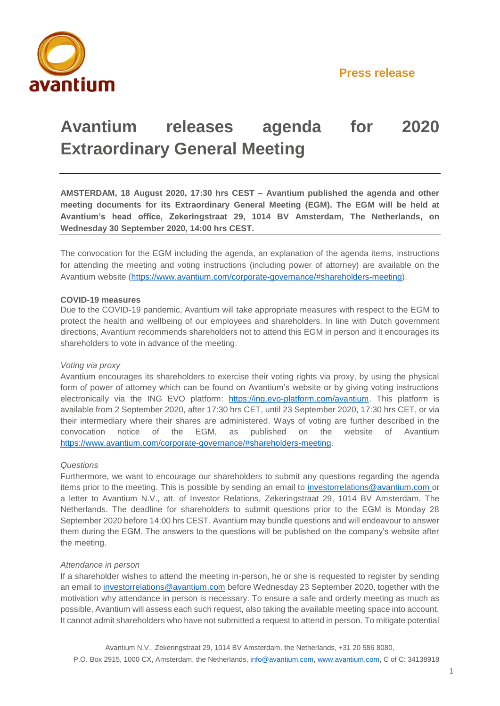

# **Avantium releases agenda for 2020 Extraordinary General Meeting**

**AMSTERDAM, 18 August 2020, 17:30 hrs CEST – Avantium published the agenda and other meeting documents for its Extraordinary General Meeting (EGM). The EGM will be held at Avantium's head office, Zekeringstraat 29, 1014 BV Amsterdam, The Netherlands, on Wednesday 30 September 2020, 14:00 hrs CEST.** 

The convocation for the EGM including the agenda, an explanation of the agenda items, instructions for attending the meeting and voting instructions (including power of attorney) are available on the Avantium website [\(https://www.avantium.com/corporate-governance/#shareholders-meeting\)](https://www.avantium.com/corporate-governance/#shareholders-meeting).

### **COVID-19 measures**

Due to the COVID-19 pandemic, Avantium will take appropriate measures with respect to the EGM to protect the health and wellbeing of our employees and shareholders. In line with Dutch government directions, Avantium recommends shareholders not to attend this EGM in person and it encourages its shareholders to vote in advance of the meeting.

#### *Voting via proxy*

Avantium encourages its shareholders to exercise their voting rights via proxy, by using the physical form of power of attorney which can be found on Avantium's website or by giving voting instructions electronically via the ING EVO platform: [https://ing.evo-platform.com/avantium.](https://ing.evo-platform.com/avantium) This platform is available from 2 September 2020, after 17:30 hrs CET, until 23 September 2020, 17:30 hrs CET, or via their intermediary where their shares are administered. Ways of voting are further described in the convocation notice of the EGM, as published on the website of Avantium [https://www.avantium.com/corporate-governance/#shareholders-meeting.](https://www.avantium.com/corporate-governance/%23shareholders-meeting)

#### *Questions*

Furthermore, we want to encourage our shareholders to submit any questions regarding the agenda items prior to the meeting. This is possible by sending an email to [investorrelations@avantium.com](mailto:investorrelations@avantium.com) or a letter to Avantium N.V., att. of Investor Relations, Zekeringstraat 29, 1014 BV Amsterdam, The Netherlands. The deadline for shareholders to submit questions prior to the EGM is Monday 28 September 2020 before 14:00 hrs CEST. Avantium may bundle questions and will endeavour to answer them during the EGM. The answers to the questions will be published on the company's website after the meeting.

#### *Attendance in person*

If a shareholder wishes to attend the meeting in-person, he or she is requested to register by sending an email to [investorrelations@avantium.com](mailto:investorrelations@avantium.com) before Wednesday 23 September 2020, together with the motivation why attendance in person is necessary. To ensure a safe and orderly meeting as much as possible, Avantium will assess each such request, also taking the available meeting space into account. It cannot admit shareholders who have not submitted a request to attend in person. To mitigate potential